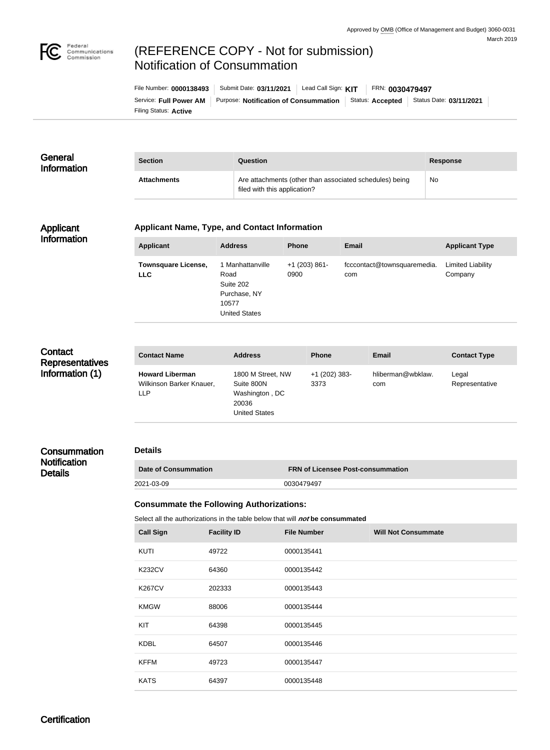

# (REFERENCE COPY - Not for submission) Notification of Consummation

| File Number: 0000138493 | Submit Date: 03/11/2021               | Lead Call Sign: KIT |                  | FRN: 0030479497 |                         |
|-------------------------|---------------------------------------|---------------------|------------------|-----------------|-------------------------|
| Service: Full Power AM  | Purpose: Notification of Consummation |                     | Status: Accepted |                 | Status Date: 03/11/2021 |
| Filing Status: Active   |                                       |                     |                  |                 |                         |

#### **General** Information **Section Question Response** Attachments **Attachments** Are attachments (other than associated schedules) being filed with this application? No

#### Applicant Information

#### **Applicant Name, Type, and Contact Information**

| <b>Applicant</b>                         | <b>Address</b>                                                                         | <b>Phone</b>            | Email                              | <b>Applicant Type</b>               |
|------------------------------------------|----------------------------------------------------------------------------------------|-------------------------|------------------------------------|-------------------------------------|
| <b>Townsquare License,</b><br><b>LLC</b> | 1 Manhattanville<br>Road<br>Suite 202<br>Purchase, NY<br>10577<br><b>United States</b> | $+1$ (203) 861-<br>0900 | fcccontact@townsquaremedia.<br>com | <b>Limited Liability</b><br>Company |

# **Contact Representatives** Information (1)

| hliberman@wbklaw.<br>1800 M Street, NW<br>$+1$ (202) 383-<br><b>Howard Liberman</b><br>Legal<br>Wilkinson Barker Knauer,<br>3373<br>Suite 800N<br>Representative<br>com<br>Washington, DC<br>LLP<br>20036<br><b>United States</b> | <b>Contact Name</b> | <b>Address</b> | <b>Phone</b> | <b>Email</b> | <b>Contact Type</b> |
|-----------------------------------------------------------------------------------------------------------------------------------------------------------------------------------------------------------------------------------|---------------------|----------------|--------------|--------------|---------------------|
|                                                                                                                                                                                                                                   |                     |                |              |              |                     |

## **Consummation Notification Details**

#### **Details**

| Date of Consummation | <b>FRN of Licensee Post-consummation</b> |
|----------------------|------------------------------------------|
| 2021-03-09           | 0030479497                               |

## **Consummate the Following Authorizations:**

Select all the authorizations in the table below that will *not* be consummated

| <b>Call Sign</b> | <b>Facility ID</b> | <b>File Number</b> | <b>Will Not Consummate</b> |
|------------------|--------------------|--------------------|----------------------------|
| <b>KUTI</b>      | 49722              | 0000135441         |                            |
| <b>K232CV</b>    | 64360              | 0000135442         |                            |
| <b>K267CV</b>    | 202333             | 0000135443         |                            |
| <b>KMGW</b>      | 88006              | 0000135444         |                            |
| KIT              | 64398              | 0000135445         |                            |
| <b>KDBL</b>      | 64507              | 0000135446         |                            |
| <b>KFFM</b>      | 49723              | 0000135447         |                            |
| <b>KATS</b>      | 64397              | 0000135448         |                            |